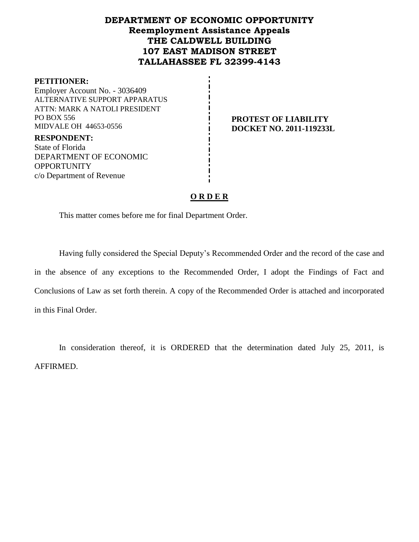# **DEPARTMENT OF ECONOMIC OPPORTUNITY Reemployment Assistance Appeals THE CALDWELL BUILDING 107 EAST MADISON STREET TALLAHASSEE FL 32399-4143**

#### **PETITIONER:**

Employer Account No. - 3036409 ALTERNATIVE SUPPORT APPARATUS ATTN: MARK A NATOLI PRESIDENT PO BOX 556 MIDVALE OH 44653-0556

**PROTEST OF LIABILITY DOCKET NO. 2011-119233L**

**RESPONDENT:** State of Florida DEPARTMENT OF ECONOMIC **OPPORTUNITY** c/o Department of Revenue

## **O R D E R**

This matter comes before me for final Department Order.

Having fully considered the Special Deputy's Recommended Order and the record of the case and in the absence of any exceptions to the Recommended Order, I adopt the Findings of Fact and Conclusions of Law as set forth therein. A copy of the Recommended Order is attached and incorporated in this Final Order.

In consideration thereof, it is ORDERED that the determination dated July 25, 2011, is AFFIRMED.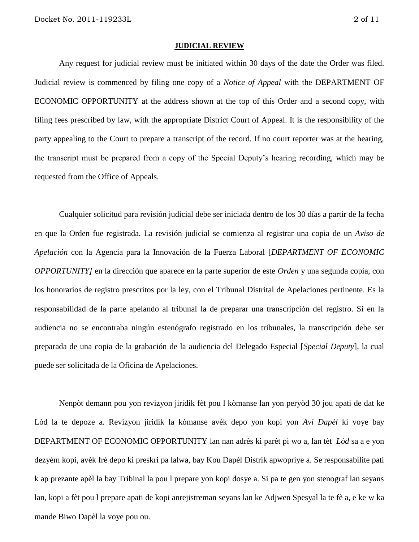#### **JUDICIAL REVIEW**

Any request for judicial review must be initiated within 30 days of the date the Order was filed. Judicial review is commenced by filing one copy of a *Notice of Appeal* with the DEPARTMENT OF ECONOMIC OPPORTUNITY at the address shown at the top of this Order and a second copy, with filing fees prescribed by law, with the appropriate District Court of Appeal. It is the responsibility of the party appealing to the Court to prepare a transcript of the record. If no court reporter was at the hearing, the transcript must be prepared from a copy of the Special Deputy's hearing recording, which may be requested from the Office of Appeals.

Cualquier solicitud para revisión judicial debe ser iniciada dentro de los 30 días a partir de la fecha en que la Orden fue registrada. La revisión judicial se comienza al registrar una copia de un *Aviso de Apelación* con la Agencia para la Innovación de la Fuerza Laboral [*DEPARTMENT OF ECONOMIC OPPORTUNITY]* en la dirección que aparece en la parte superior de este *Orden* y una segunda copia, con los honorarios de registro prescritos por la ley, con el Tribunal Distrital de Apelaciones pertinente. Es la responsabilidad de la parte apelando al tribunal la de preparar una transcripción del registro. Si en la audiencia no se encontraba ningún estenógrafo registrado en los tribunales, la transcripción debe ser preparada de una copia de la grabación de la audiencia del Delegado Especial [*Special Deputy*], la cual puede ser solicitada de la Oficina de Apelaciones.

Nenpòt demann pou yon revizyon jiridik fèt pou l kòmanse lan yon peryòd 30 jou apati de dat ke Lòd la te depoze a. Revizyon jiridik la kòmanse avèk depo yon kopi yon *Avi Dapèl* ki voye bay DEPARTMENT OF ECONOMIC OPPORTUNITY lan nan adrès ki parèt pi wo a, lan tèt *Lòd* sa a e yon dezyèm kopi, avèk frè depo ki preskri pa lalwa, bay Kou Dapèl Distrik apwopriye a. Se responsabilite pati k ap prezante apèl la bay Tribinal la pou l prepare yon kopi dosye a. Si pa te gen yon stenograf lan seyans lan, kopi a fèt pou l prepare apati de kopi anrejistreman seyans lan ke Adjwen Spesyal la te fè a, e ke w ka mande Biwo Dapèl la voye pou ou.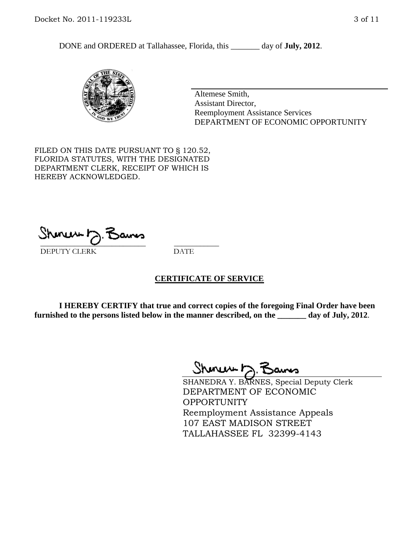DONE and ORDERED at Tallahassee, Florida, this day of **July, 2012**.



Altemese Smith, Assistant Director, Reemployment Assistance Services DEPARTMENT OF ECONOMIC OPPORTUNITY

FILED ON THIS DATE PURSUANT TO § 120.52, FLORIDA STATUTES, WITH THE DESIGNATED DEPARTMENT CLERK, RECEIPT OF WHICH IS HEREBY ACKNOWLEDGED.

\_\_\_\_\_\_\_\_\_\_\_\_\_\_\_\_\_\_\_\_\_\_\_\_\_\_\_\_ \_\_\_\_\_\_\_\_\_\_\_\_ DEPUTY CLERK DATE

#### **CERTIFICATE OF SERVICE**

**I HEREBY CERTIFY that true and correct copies of the foregoing Final Order have been furnished to the persons listed below in the manner described, on the \_\_\_\_\_\_\_ day of July, 2012**.

Shmun 12.Z

SHANEDRA Y. BARNES, Special Deputy Clerk DEPARTMENT OF ECONOMIC OPPORTUNITY Reemployment Assistance Appeals 107 EAST MADISON STREET TALLAHASSEE FL 32399-4143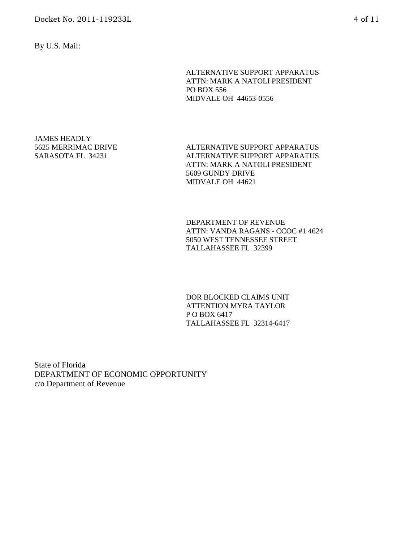By U.S. Mail:

ALTERNATIVE SUPPORT APPARATUS ATTN: MARK A NATOLI PRESIDENT PO BOX 556 MIDVALE OH 44653-0556

JAMES HEADLY 5625 MERRIMAC DRIVE SARASOTA FL 34231

ALTERNATIVE SUPPORT APPARATUS ALTERNATIVE SUPPORT APPARATUS ATTN: MARK A NATOLI PRESIDENT 5609 GUNDY DRIVE MIDVALE OH 44621

DEPARTMENT OF REVENUE ATTN: VANDA RAGANS - CCOC #1 4624 5050 WEST TENNESSEE STREET TALLAHASSEE FL 32399

DOR BLOCKED CLAIMS UNIT ATTENTION MYRA TAYLOR P O BOX 6417 TALLAHASSEE FL 32314-6417

State of Florida DEPARTMENT OF ECONOMIC OPPORTUNITY c/o Department of Revenue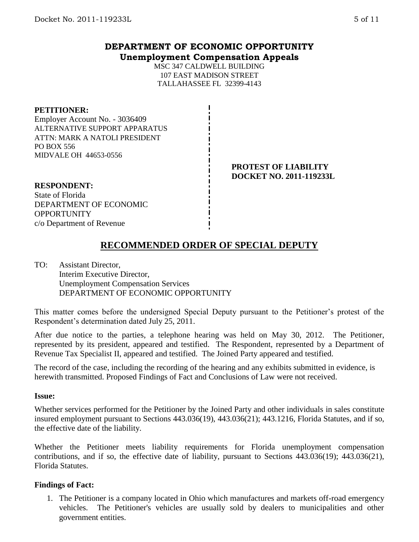# **DEPARTMENT OF ECONOMIC OPPORTUNITY Unemployment Compensation Appeals**

MSC 347 CALDWELL BUILDING 107 EAST MADISON STREET TALLAHASSEE FL 32399-4143

#### **PETITIONER:**

Employer Account No. - 3036409 ALTERNATIVE SUPPORT APPARATUS ATTN: MARK A NATOLI PRESIDENT PO BOX 556 MIDVALE OH 44653-0556

### **PROTEST OF LIABILITY DOCKET NO. 2011-119233L**

**RESPONDENT:** State of Florida DEPARTMENT OF ECONOMIC **OPPORTUNITY** c/o Department of Revenue

**RECOMMENDED ORDER OF SPECIAL DEPUTY**

TO: Assistant Director, Interim Executive Director, Unemployment Compensation Services DEPARTMENT OF ECONOMIC OPPORTUNITY

This matter comes before the undersigned Special Deputy pursuant to the Petitioner's protest of the Respondent's determination dated July 25, 2011.

After due notice to the parties, a telephone hearing was held on May 30, 2012. The Petitioner, represented by its president, appeared and testified. The Respondent, represented by a Department of Revenue Tax Specialist II, appeared and testified. The Joined Party appeared and testified.

The record of the case, including the recording of the hearing and any exhibits submitted in evidence, is herewith transmitted. Proposed Findings of Fact and Conclusions of Law were not received.

#### **Issue:**

Whether services performed for the Petitioner by the Joined Party and other individuals in sales constitute insured employment pursuant to Sections 443.036(19), 443.036(21); 443.1216, Florida Statutes, and if so, the effective date of the liability.

Whether the Petitioner meets liability requirements for Florida unemployment compensation contributions, and if so, the effective date of liability, pursuant to Sections 443.036(19); 443.036(21), Florida Statutes.

#### **Findings of Fact:**

1. The Petitioner is a company located in Ohio which manufactures and markets off-road emergency vehicles. The Petitioner's vehicles are usually sold by dealers to municipalities and other government entities.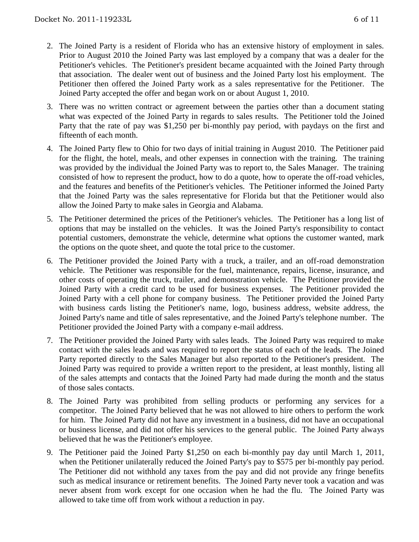- 2. The Joined Party is a resident of Florida who has an extensive history of employment in sales. Prior to August 2010 the Joined Party was last employed by a company that was a dealer for the Petitioner's vehicles. The Petitioner's president became acquainted with the Joined Party through that association. The dealer went out of business and the Joined Party lost his employment. The Petitioner then offered the Joined Party work as a sales representative for the Petitioner. The Joined Party accepted the offer and began work on or about August 1, 2010.
- 3. There was no written contract or agreement between the parties other than a document stating what was expected of the Joined Party in regards to sales results. The Petitioner told the Joined Party that the rate of pay was \$1,250 per bi-monthly pay period, with paydays on the first and fifteenth of each month.
- 4. The Joined Party flew to Ohio for two days of initial training in August 2010. The Petitioner paid for the flight, the hotel, meals, and other expenses in connection with the training. The training was provided by the individual the Joined Party was to report to, the Sales Manager. The training consisted of how to represent the product, how to do a quote, how to operate the off-road vehicles, and the features and benefits of the Petitioner's vehicles. The Petitioner informed the Joined Party that the Joined Party was the sales representative for Florida but that the Petitioner would also allow the Joined Party to make sales in Georgia and Alabama.
- 5. The Petitioner determined the prices of the Petitioner's vehicles. The Petitioner has a long list of options that may be installed on the vehicles. It was the Joined Party's responsibility to contact potential customers, demonstrate the vehicle, determine what options the customer wanted, mark the options on the quote sheet, and quote the total price to the customer.
- 6. The Petitioner provided the Joined Party with a truck, a trailer, and an off-road demonstration vehicle. The Petitioner was responsible for the fuel, maintenance, repairs, license, insurance, and other costs of operating the truck, trailer, and demonstration vehicle. The Petitioner provided the Joined Party with a credit card to be used for business expenses. The Petitioner provided the Joined Party with a cell phone for company business. The Petitioner provided the Joined Party with business cards listing the Petitioner's name, logo, business address, website address, the Joined Party's name and title of sales representative, and the Joined Party's telephone number. The Petitioner provided the Joined Party with a company e-mail address.
- 7. The Petitioner provided the Joined Party with sales leads. The Joined Party was required to make contact with the sales leads and was required to report the status of each of the leads. The Joined Party reported directly to the Sales Manager but also reported to the Petitioner's president. The Joined Party was required to provide a written report to the president, at least monthly, listing all of the sales attempts and contacts that the Joined Party had made during the month and the status of those sales contacts.
- 8. The Joined Party was prohibited from selling products or performing any services for a competitor. The Joined Party believed that he was not allowed to hire others to perform the work for him. The Joined Party did not have any investment in a business, did not have an occupational or business license, and did not offer his services to the general public. The Joined Party always believed that he was the Petitioner's employee.
- 9. The Petitioner paid the Joined Party \$1,250 on each bi-monthly pay day until March 1, 2011, when the Petitioner unilaterally reduced the Joined Party's pay to \$575 per bi-monthly pay period. The Petitioner did not withhold any taxes from the pay and did not provide any fringe benefits such as medical insurance or retirement benefits. The Joined Party never took a vacation and was never absent from work except for one occasion when he had the flu. The Joined Party was allowed to take time off from work without a reduction in pay.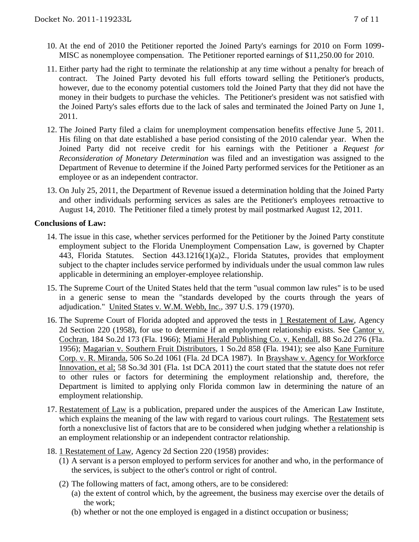- 10. At the end of 2010 the Petitioner reported the Joined Party's earnings for 2010 on Form 1099- MISC as nonemployee compensation. The Petitioner reported earnings of \$11,250.00 for 2010.
- 11. Either party had the right to terminate the relationship at any time without a penalty for breach of contract. The Joined Party devoted his full efforts toward selling the Petitioner's products, however, due to the economy potential customers told the Joined Party that they did not have the money in their budgets to purchase the vehicles. The Petitioner's president was not satisfied with the Joined Party's sales efforts due to the lack of sales and terminated the Joined Party on June 1, 2011.
- 12. The Joined Party filed a claim for unemployment compensation benefits effective June 5, 2011. His filing on that date established a base period consisting of the 2010 calendar year. When the Joined Party did not receive credit for his earnings with the Petitioner a *Request for Reconsideration of Monetary Determination* was filed and an investigation was assigned to the Department of Revenue to determine if the Joined Party performed services for the Petitioner as an employee or as an independent contractor.
- 13. On July 25, 2011, the Department of Revenue issued a determination holding that the Joined Party and other individuals performing services as sales are the Petitioner's employees retroactive to August 14, 2010. The Petitioner filed a timely protest by mail postmarked August 12, 2011.

### **Conclusions of Law:**

- 14. The issue in this case, whether services performed for the Petitioner by the Joined Party constitute employment subject to the Florida Unemployment Compensation Law, is governed by Chapter 443, Florida Statutes. Section 443.1216(1)(a)2., Florida Statutes, provides that employment subject to the chapter includes service performed by individuals under the usual common law rules applicable in determining an employer-employee relationship.
- 15. The Supreme Court of the United States held that the term "usual common law rules" is to be used in a generic sense to mean the "standards developed by the courts through the years of adjudication." United States v. W.M. Webb, Inc., 397 U.S. 179 (1970).
- 16. The Supreme Court of Florida adopted and approved the tests in 1 Restatement of Law, Agency 2d Section 220 (1958), for use to determine if an employment relationship exists. See Cantor v. Cochran, 184 So.2d 173 (Fla. 1966); Miami Herald Publishing Co. v. Kendall, 88 So.2d 276 (Fla. 1956); Magarian v. Southern Fruit Distributors, 1 So.2d 858 (Fla. 1941); see also Kane Furniture Corp. v. R. Miranda, 506 So.2d 1061 (Fla. 2d DCA 1987). In Brayshaw v. Agency for Workforce Innovation, et al; 58 So.3d 301 (Fla. 1st DCA 2011) the court stated that the statute does not refer to other rules or factors for determining the employment relationship and, therefore, the Department is limited to applying only Florida common law in determining the nature of an employment relationship.
- 17. Restatement of Law is a publication, prepared under the auspices of the American Law Institute, which explains the meaning of the law with regard to various court rulings. The Restatement sets forth a nonexclusive list of factors that are to be considered when judging whether a relationship is an employment relationship or an independent contractor relationship.
- 18. 1 Restatement of Law, Agency 2d Section 220 (1958) provides:
	- (1) A servant is a person employed to perform services for another and who, in the performance of the services, is subject to the other's control or right of control.
	- (2) The following matters of fact, among others, are to be considered:
		- (a) the extent of control which, by the agreement, the business may exercise over the details of the work;
		- (b) whether or not the one employed is engaged in a distinct occupation or business;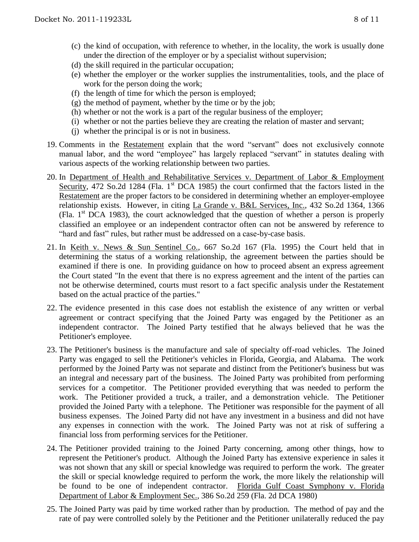- (c) the kind of occupation, with reference to whether, in the locality, the work is usually done under the direction of the employer or by a specialist without supervision;
- (d) the skill required in the particular occupation;
- (e) whether the employer or the worker supplies the instrumentalities, tools, and the place of work for the person doing the work;
- (f) the length of time for which the person is employed;
- (g) the method of payment, whether by the time or by the job;
- (h) whether or not the work is a part of the regular business of the employer;
- (i) whether or not the parties believe they are creating the relation of master and servant;
- (j) whether the principal is or is not in business.
- 19. Comments in the Restatement explain that the word "servant" does not exclusively connote manual labor, and the word "employee" has largely replaced "servant" in statutes dealing with various aspects of the working relationship between two parties.
- 20. In Department of Health and Rehabilitative Services v. Department of Labor & Employment Security, 472 So.2d 1284 (Fla. 1<sup>st</sup> DCA 1985) the court confirmed that the factors listed in the Restatement are the proper factors to be considered in determining whether an employer-employee relationship exists. However, in citing La Grande v. B&L Services, Inc., 432 So.2d 1364, 1366 (Fla.  $1<sup>st</sup> DCA$  1983), the court acknowledged that the question of whether a person is properly classified an employee or an independent contractor often can not be answered by reference to "hard and fast" rules, but rather must be addressed on a case-by-case basis.
- 21. In Keith v. News & Sun Sentinel Co., 667 So.2d 167 (Fla. 1995) the Court held that in determining the status of a working relationship, the agreement between the parties should be examined if there is one. In providing guidance on how to proceed absent an express agreement the Court stated "In the event that there is no express agreement and the intent of the parties can not be otherwise determined, courts must resort to a fact specific analysis under the Restatement based on the actual practice of the parties."
- 22. The evidence presented in this case does not establish the existence of any written or verbal agreement or contract specifying that the Joined Party was engaged by the Petitioner as an independent contractor. The Joined Party testified that he always believed that he was the Petitioner's employee.
- 23. The Petitioner's business is the manufacture and sale of specialty off-road vehicles. The Joined Party was engaged to sell the Petitioner's vehicles in Florida, Georgia, and Alabama. The work performed by the Joined Party was not separate and distinct from the Petitioner's business but was an integral and necessary part of the business. The Joined Party was prohibited from performing services for a competitor. The Petitioner provided everything that was needed to perform the work. The Petitioner provided a truck, a trailer, and a demonstration vehicle. The Petitioner provided the Joined Party with a telephone. The Petitioner was responsible for the payment of all business expenses. The Joined Party did not have any investment in a business and did not have any expenses in connection with the work. The Joined Party was not at risk of suffering a financial loss from performing services for the Petitioner.
- 24. The Petitioner provided training to the Joined Party concerning, among other things, how to represent the Petitioner's product. Although the Joined Party has extensive experience in sales it was not shown that any skill or special knowledge was required to perform the work. The greater the skill or special knowledge required to perform the work, the more likely the relationship will be found to be one of independent contractor. Florida Gulf Coast Symphony v. Florida Department of Labor & Employment Sec., 386 So.2d 259 (Fla. 2d DCA 1980)
- 25. The Joined Party was paid by time worked rather than by production. The method of pay and the rate of pay were controlled solely by the Petitioner and the Petitioner unilaterally reduced the pay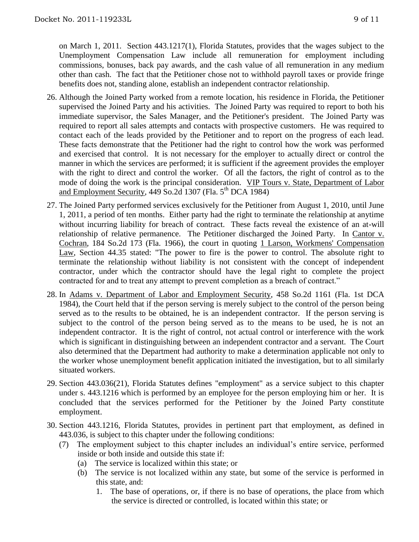on March 1, 2011. Section 443.1217(1), Florida Statutes, provides that the wages subject to the Unemployment Compensation Law include all remuneration for employment including commissions, bonuses, back pay awards, and the cash value of all remuneration in any medium other than cash. The fact that the Petitioner chose not to withhold payroll taxes or provide fringe benefits does not, standing alone, establish an independent contractor relationship.

- 26. Although the Joined Party worked from a remote location, his residence in Florida, the Petitioner supervised the Joined Party and his activities. The Joined Party was required to report to both his immediate supervisor, the Sales Manager, and the Petitioner's president. The Joined Party was required to report all sales attempts and contacts with prospective customers. He was required to contact each of the leads provided by the Petitioner and to report on the progress of each lead. These facts demonstrate that the Petitioner had the right to control how the work was performed and exercised that control. It is not necessary for the employer to actually direct or control the manner in which the services are performed; it is sufficient if the agreement provides the employer with the right to direct and control the worker. Of all the factors, the right of control as to the mode of doing the work is the principal consideration. VIP Tours v. State, Department of Labor and Employment Security,  $449$  So.2d 1307 (Fla.  $5<sup>th</sup>$  DCA 1984)
- 27. The Joined Party performed services exclusively for the Petitioner from August 1, 2010, until June 1, 2011, a period of ten months. Either party had the right to terminate the relationship at anytime without incurring liability for breach of contract. These facts reveal the existence of an at-will relationship of relative permanence. The Petitioner discharged the Joined Party. In Cantor v. Cochran, 184 So.2d 173 (Fla. 1966), the court in quoting 1 Larson, Workmens' Compensation Law, Section 44.35 stated: "The power to fire is the power to control. The absolute right to terminate the relationship without liability is not consistent with the concept of independent contractor, under which the contractor should have the legal right to complete the project contracted for and to treat any attempt to prevent completion as a breach of contract."
- 28. In Adams v. Department of Labor and Employment Security, 458 So.2d 1161 (Fla. 1st DCA 1984), the Court held that if the person serving is merely subject to the control of the person being served as to the results to be obtained, he is an independent contractor. If the person serving is subject to the control of the person being served as to the means to be used, he is not an independent contractor. It is the right of control, not actual control or interference with the work which is significant in distinguishing between an independent contractor and a servant. The Court also determined that the Department had authority to make a determination applicable not only to the worker whose unemployment benefit application initiated the investigation, but to all similarly situated workers.
- 29. Section 443.036(21), Florida Statutes defines "employment" as a service subject to this chapter under s. 443.1216 which is performed by an employee for the person employing him or her. It is concluded that the services performed for the Petitioner by the Joined Party constitute employment.
- 30. Section 443.1216, Florida Statutes, provides in pertinent part that employment, as defined in 443.036, is subject to this chapter under the following conditions:
	- (7) The employment subject to this chapter includes an individual's entire service, performed inside or both inside and outside this state if:
		- (a) The service is localized within this state; or
		- (b) The service is not localized within any state, but some of the service is performed in this state, and:
			- 1. The base of operations, or, if there is no base of operations, the place from which the service is directed or controlled, is located within this state; or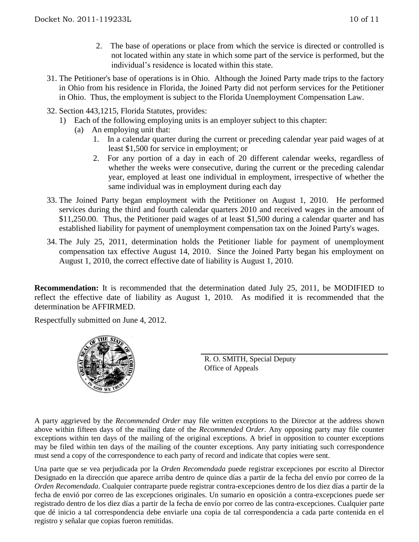- 2. The base of operations or place from which the service is directed or controlled is not located within any state in which some part of the service is performed, but the individual's residence is located within this state.
- 31. The Petitioner's base of operations is in Ohio. Although the Joined Party made trips to the factory in Ohio from his residence in Florida, the Joined Party did not perform services for the Petitioner in Ohio. Thus, the employment is subject to the Florida Unemployment Compensation Law.
- 32. Section 443,1215, Florida Statutes, provides:
	- 1) Each of the following employing units is an employer subject to this chapter:
		- (a) An employing unit that:
			- 1. In a calendar quarter during the current or preceding calendar year paid wages of at least \$1,500 for service in employment; or
			- 2. For any portion of a day in each of 20 different calendar weeks, regardless of whether the weeks were consecutive, during the current or the preceding calendar year, employed at least one individual in employment, irrespective of whether the same individual was in employment during each day
- 33. The Joined Party began employment with the Petitioner on August 1, 2010. He performed services during the third and fourth calendar quarters 2010 and received wages in the amount of \$11,250.00. Thus, the Petitioner paid wages of at least \$1,500 during a calendar quarter and has established liability for payment of unemployment compensation tax on the Joined Party's wages.
- 34. The July 25, 2011, determination holds the Petitioner liable for payment of unemployment compensation tax effective August 14, 2010. Since the Joined Party began his employment on August 1, 2010, the correct effective date of liability is August 1, 2010.

**Recommendation:** It is recommended that the determination dated July 25, 2011, be MODIFIED to reflect the effective date of liability as August 1, 2010. As modified it is recommended that the determination be AFFIRMED.

Respectfully submitted on June 4, 2012.



R. O. SMITH, Special Deputy Office of Appeals

A party aggrieved by the *Recommended Order* may file written exceptions to the Director at the address shown above within fifteen days of the mailing date of the *Recommended Order*. Any opposing party may file counter exceptions within ten days of the mailing of the original exceptions. A brief in opposition to counter exceptions may be filed within ten days of the mailing of the counter exceptions. Any party initiating such correspondence must send a copy of the correspondence to each party of record and indicate that copies were sent.

Una parte que se vea perjudicada por la *Orden Recomendada* puede registrar excepciones por escrito al Director Designado en la dirección que aparece arriba dentro de quince días a partir de la fecha del envío por correo de la *Orden Recomendada*. Cualquier contraparte puede registrar contra-excepciones dentro de los diez días a partir de la fecha de envió por correo de las excepciones originales. Un sumario en oposición a contra-excepciones puede ser registrado dentro de los diez días a partir de la fecha de envío por correo de las contra-excepciones. Cualquier parte que dé inicio a tal correspondencia debe enviarle una copia de tal correspondencia a cada parte contenida en el registro y señalar que copias fueron remitidas.